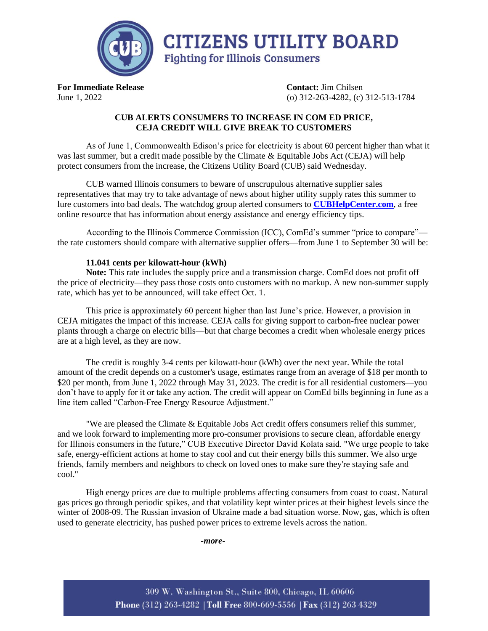

**For Immediate Release Contact:** Jim Chilsen June 1, 2022 (o) 312-263-4282, (c) 312-513-1784

## **CUB ALERTS CONSUMERS TO INCREASE IN COM ED PRICE, CEJA CREDIT WILL GIVE BREAK TO CUSTOMERS**

As of June 1, Commonwealth Edison's price for electricity is about 60 percent higher than what it was last summer, but a credit made possible by the Climate & Equitable Jobs Act (CEJA) will help protect consumers from the increase, the Citizens Utility Board (CUB) said Wednesday.

CUB warned Illinois consumers to beware of unscrupulous alternative supplier sales representatives that may try to take advantage of news about higher utility supply rates this summer to lure customers into bad deals. The watchdog group alerted consumers to **[CUBHelpCenter.com](https://www.citizensutilityboard.org/welcome-cubs-help-center/)**, a free online resource that has information about energy assistance and energy efficiency tips.

According to the Illinois Commerce Commission (ICC), ComEd's summer "price to compare" the rate customers should compare with alternative supplier offers—from June 1 to September 30 will be:

## **11.041 cents per kilowatt-hour (kWh)**

**Note:** This rate includes the supply price and a transmission charge. ComEd does not profit off the price of electricity—they pass those costs onto customers with no markup. A new non-summer supply rate, which has yet to be announced, will take effect Oct. 1.

This price is approximately 60 percent higher than last June's price. However, a provision in CEJA mitigates the impact of this increase. CEJA calls for giving support to carbon-free nuclear power plants through a charge on electric bills—but that charge becomes a credit when wholesale energy prices are at a high level, as they are now.

The credit is roughly 3-4 cents per kilowatt-hour (kWh) over the next year. While the total amount of the credit depends on a customer's usage, estimates range from an average of \$18 per month to \$20 per month, from June 1, 2022 through May 31, 2023. The credit is for all residential customers—you don't have to apply for it or take any action. The credit will appear on ComEd bills beginning in June as a line item called "Carbon-Free Energy Resource Adjustment."

"We are pleased the Climate & Equitable Jobs Act credit offers consumers relief this summer, and we look forward to implementing more pro-consumer provisions to secure clean, affordable energy for Illinois consumers in the future," CUB Executive Director David Kolata said. "We urge people to take safe, energy-efficient actions at home to stay cool and cut their energy bills this summer. We also urge friends, family members and neighbors to check on loved ones to make sure they're staying safe and cool."

High energy prices are due to multiple problems affecting consumers from coast to coast. Natural gas prices go through periodic spikes, and that volatility kept winter prices at their highest levels since the winter of 2008-09. The Russian invasion of Ukraine made a bad situation worse. Now, gas, which is often used to generate electricity, has pushed power prices to extreme levels across the nation.

*-more-*

309 W. Washington St., Suite 800, Chicago, IL 60606 Phone (312) 263-4282 | Toll Free 800-669-5556 | Fax (312) 263 4329